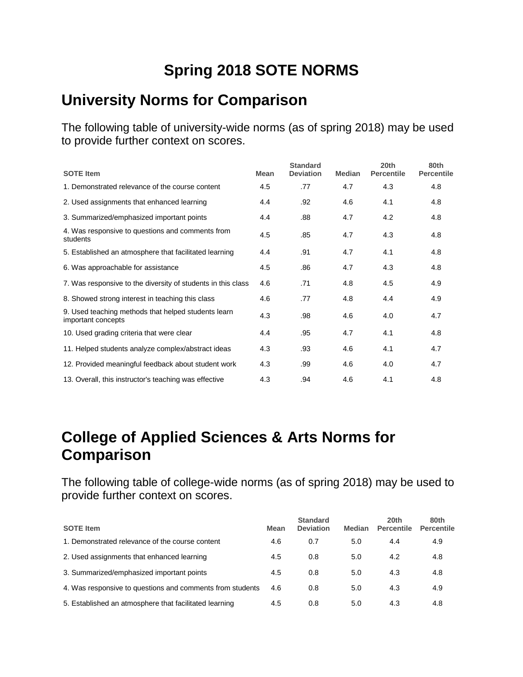# **Spring 2018 SOTE NORMS**

#### **University Norms for Comparison**

The following table of university-wide norms (as of spring 2018) may be used to provide further context on scores.

| <b>SOTE</b> Item                                                          | <b>Mean</b> | <b>Standard</b><br><b>Deviation</b> | <b>Median</b> | 20th<br><b>Percentile</b> | 80th<br><b>Percentile</b> |
|---------------------------------------------------------------------------|-------------|-------------------------------------|---------------|---------------------------|---------------------------|
| 1. Demonstrated relevance of the course content                           | 4.5         | .77                                 | 4.7           | 4.3                       | 4.8                       |
| 2. Used assignments that enhanced learning                                | 4.4         | .92                                 | 4.6           | 4.1                       | 4.8                       |
| 3. Summarized/emphasized important points                                 | 4.4         | .88                                 | 4.7           | 4.2                       | 4.8                       |
| 4. Was responsive to questions and comments from<br>students              | 4.5         | .85                                 | 4.7           | 4.3                       | 4.8                       |
| 5. Established an atmosphere that facilitated learning                    | 4.4         | .91                                 | 4.7           | 4.1                       | 4.8                       |
| 6. Was approachable for assistance                                        | 4.5         | .86                                 | 4.7           | 4.3                       | 4.8                       |
| 7. Was responsive to the diversity of students in this class              | 4.6         | .71                                 | 4.8           | 4.5                       | 4.9                       |
| 8. Showed strong interest in teaching this class                          | 4.6         | .77                                 | 4.8           | 4.4                       | 4.9                       |
| 9. Used teaching methods that helped students learn<br>important concepts | 4.3         | .98                                 | 4.6           | 4.0                       | 4.7                       |
| 10. Used grading criteria that were clear                                 | 4.4         | .95                                 | 4.7           | 4.1                       | 4.8                       |
| 11. Helped students analyze complex/abstract ideas                        | 4.3         | .93                                 | 4.6           | 4.1                       | 4.7                       |
| 12. Provided meaningful feedback about student work                       | 4.3         | .99                                 | 4.6           | 4.0                       | 4.7                       |
| 13. Overall, this instructor's teaching was effective                     | 4.3         | .94                                 | 4.6           | 4.1                       | 4.8                       |

## **College of Applied Sciences & Arts Norms for Comparison**

| <b>SOTE Item</b>                                          | <b>Mean</b> | <b>Standard</b><br><b>Deviation</b> | Median | 20th<br><b>Percentile</b> | 80th<br><b>Percentile</b> |
|-----------------------------------------------------------|-------------|-------------------------------------|--------|---------------------------|---------------------------|
| 1. Demonstrated relevance of the course content           | 4.6         | 0.7                                 | 5.0    | 4.4                       | 4.9                       |
| 2. Used assignments that enhanced learning                | 4.5         | 0.8                                 | 5.0    | 4.2                       | 4.8                       |
| 3. Summarized/emphasized important points                 | 4.5         | 0.8                                 | 5.0    | 4.3                       | 4.8                       |
| 4. Was responsive to questions and comments from students | 4.6         | 0.8                                 | 5.0    | 4.3                       | 4.9                       |
| 5. Established an atmosphere that facilitated learning    | 4.5         | 0.8                                 | 5.0    | 4.3                       | 4.8                       |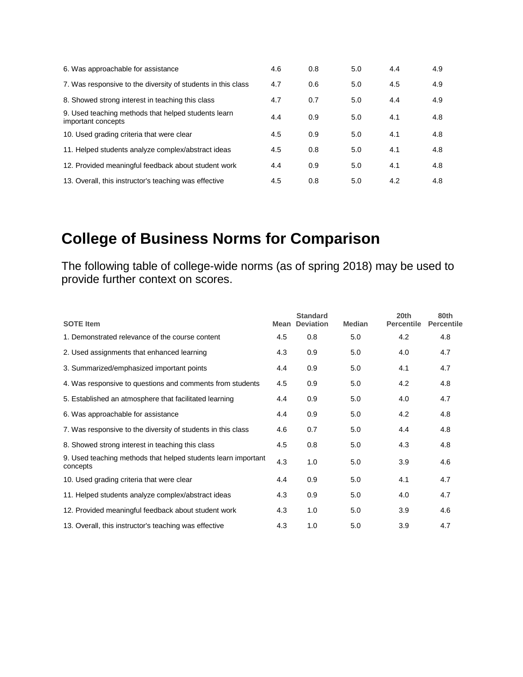| 6. Was approachable for assistance                                        | 4.6 | 0.8 | 5.0 | 4.4 | 4.9 |
|---------------------------------------------------------------------------|-----|-----|-----|-----|-----|
| 7. Was responsive to the diversity of students in this class              | 4.7 | 0.6 | 5.0 | 4.5 | 4.9 |
| 8. Showed strong interest in teaching this class                          | 4.7 | 0.7 | 5.0 | 4.4 | 4.9 |
| 9. Used teaching methods that helped students learn<br>important concepts | 4.4 | 0.9 | 5.0 | 4.1 | 4.8 |
| 10. Used grading criteria that were clear                                 | 4.5 | 0.9 | 5.0 | 4.1 | 4.8 |
| 11. Helped students analyze complex/abstract ideas                        | 4.5 | 0.8 | 5.0 | 4.1 | 4.8 |
| 12. Provided meaningful feedback about student work                       | 4.4 | 0.9 | 5.0 | 4.1 | 4.8 |
| 13. Overall, this instructor's teaching was effective                     | 4.5 | 0.8 | 5.0 | 4.2 | 4.8 |

# **College of Business Norms for Comparison**

| <b>SOTE</b> Item                                                          | Mean | <b>Standard</b><br><b>Deviation</b> | <b>Median</b> | 20th<br><b>Percentile</b> | 80th<br><b>Percentile</b> |
|---------------------------------------------------------------------------|------|-------------------------------------|---------------|---------------------------|---------------------------|
| 1. Demonstrated relevance of the course content                           | 4.5  | 0.8                                 | 5.0           | 4.2                       | 4.8                       |
| 2. Used assignments that enhanced learning                                | 4.3  | 0.9                                 | 5.0           | 4.0                       | 4.7                       |
| 3. Summarized/emphasized important points                                 | 4.4  | 0.9                                 | 5.0           | 4.1                       | 4.7                       |
| 4. Was responsive to questions and comments from students                 | 4.5  | 0.9                                 | 5.0           | 4.2                       | 4.8                       |
| 5. Established an atmosphere that facilitated learning                    | 4.4  | 0.9                                 | 5.0           | 4.0                       | 4.7                       |
| 6. Was approachable for assistance                                        | 4.4  | 0.9                                 | 5.0           | 4.2                       | 4.8                       |
| 7. Was responsive to the diversity of students in this class              | 4.6  | 0.7                                 | 5.0           | 4.4                       | 4.8                       |
| 8. Showed strong interest in teaching this class                          | 4.5  | 0.8                                 | 5.0           | 4.3                       | 4.8                       |
| 9. Used teaching methods that helped students learn important<br>concepts | 4.3  | 1.0                                 | 5.0           | 3.9                       | 4.6                       |
| 10. Used grading criteria that were clear                                 | 4.4  | 0.9                                 | 5.0           | 4.1                       | 4.7                       |
| 11. Helped students analyze complex/abstract ideas                        | 4.3  | 0.9                                 | 5.0           | 4.0                       | 4.7                       |
| 12. Provided meaningful feedback about student work                       | 4.3  | 1.0                                 | 5.0           | 3.9                       | 4.6                       |
| 13. Overall, this instructor's teaching was effective                     | 4.3  | 1.0                                 | 5.0           | 3.9                       | 4.7                       |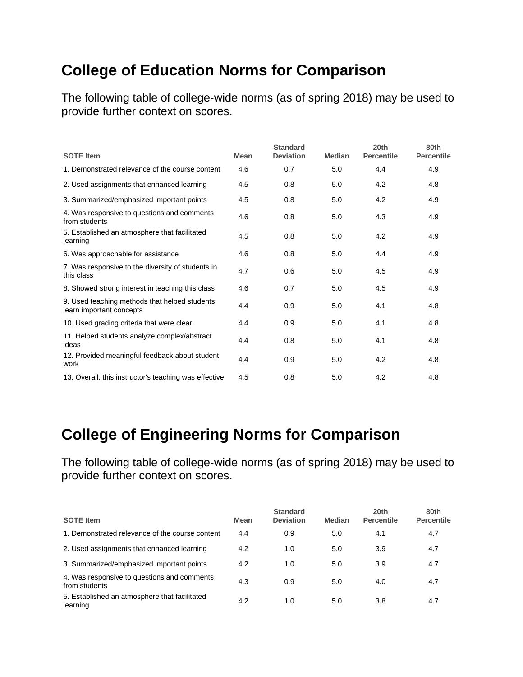# **College of Education Norms for Comparison**

The following table of college-wide norms (as of spring 2018) may be used to provide further context on scores.

| <b>SOTE Item</b>                                                          | <b>Mean</b> | <b>Standard</b><br><b>Deviation</b> | <b>Median</b> | 20th<br><b>Percentile</b> | 80th<br><b>Percentile</b> |
|---------------------------------------------------------------------------|-------------|-------------------------------------|---------------|---------------------------|---------------------------|
| 1. Demonstrated relevance of the course content                           | 4.6         | 0.7                                 | 5.0           | 4.4                       | 4.9                       |
| 2. Used assignments that enhanced learning                                | 4.5         | 0.8                                 | 5.0           | 4.2                       | 4.8                       |
| 3. Summarized/emphasized important points                                 | 4.5         | 0.8                                 | 5.0           | 4.2                       | 4.9                       |
| 4. Was responsive to questions and comments<br>from students              | 4.6         | 0.8                                 | 5.0           | 4.3                       | 4.9                       |
| 5. Established an atmosphere that facilitated<br>learning                 | 4.5         | 0.8                                 | 5.0           | 4.2                       | 4.9                       |
| 6. Was approachable for assistance                                        | 4.6         | 0.8                                 | 5.0           | 4.4                       | 4.9                       |
| 7. Was responsive to the diversity of students in<br>this class           | 4.7         | 0.6                                 | 5.0           | 4.5                       | 4.9                       |
| 8. Showed strong interest in teaching this class                          | 4.6         | 0.7                                 | 5.0           | 4.5                       | 4.9                       |
| 9. Used teaching methods that helped students<br>learn important concepts | 4.4         | 0.9                                 | 5.0           | 4.1                       | 4.8                       |
| 10. Used grading criteria that were clear                                 | 4.4         | 0.9                                 | 5.0           | 4.1                       | 4.8                       |
| 11. Helped students analyze complex/abstract<br>ideas                     | 4.4         | 0.8                                 | 5.0           | 4.1                       | 4.8                       |
| 12. Provided meaningful feedback about student<br>work                    | 4.4         | 0.9                                 | 5.0           | 4.2                       | 4.8                       |
| 13. Overall, this instructor's teaching was effective                     | 4.5         | 0.8                                 | 5.0           | 4.2                       | 4.8                       |

## **College of Engineering Norms for Comparison**

| <b>SOTE Item</b>                                             | <b>Mean</b> | <b>Standard</b><br><b>Deviation</b> | <b>Median</b> | 20th<br><b>Percentile</b> | 80th<br><b>Percentile</b> |
|--------------------------------------------------------------|-------------|-------------------------------------|---------------|---------------------------|---------------------------|
| 1. Demonstrated relevance of the course content              | 4.4         | 0.9                                 | 5.0           | 4.1                       | 4.7                       |
| 2. Used assignments that enhanced learning                   | 4.2         | 1.0                                 | 5.0           | 3.9                       | 4.7                       |
| 3. Summarized/emphasized important points                    | 4.2         | 1.0                                 | 5.0           | 3.9                       | 4.7                       |
| 4. Was responsive to questions and comments<br>from students | 4.3         | 0.9                                 | 5.0           | 4.0                       | 4.7                       |
| 5. Established an atmosphere that facilitated<br>learning    | 4.2         | 1.0                                 | 5.0           | 3.8                       | 4.7                       |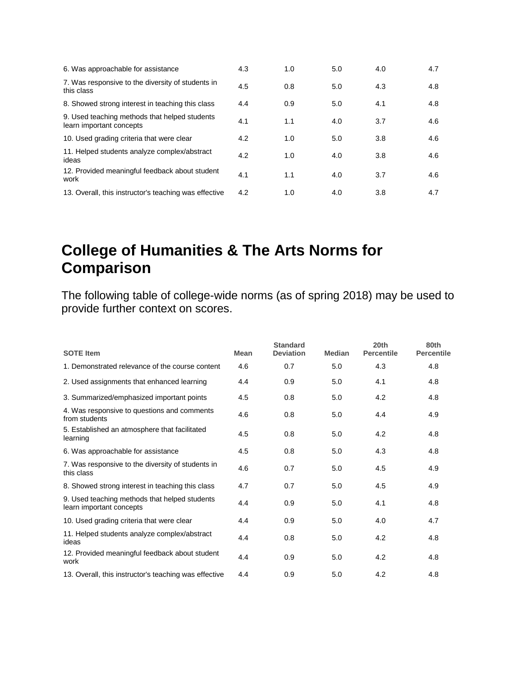| 6. Was approachable for assistance                                        | 4.3 | 1.0 | 5.0 | 4.0 | 4.7 |
|---------------------------------------------------------------------------|-----|-----|-----|-----|-----|
| 7. Was responsive to the diversity of students in<br>this class           | 4.5 | 0.8 | 5.0 | 4.3 | 4.8 |
| 8. Showed strong interest in teaching this class                          | 4.4 | 0.9 | 5.0 | 4.1 | 4.8 |
| 9. Used teaching methods that helped students<br>learn important concepts | 4.1 | 1.1 | 4.0 | 3.7 | 4.6 |
| 10. Used grading criteria that were clear                                 | 4.2 | 1.0 | 5.0 | 3.8 | 4.6 |
| 11. Helped students analyze complex/abstract<br>ideas                     | 4.2 | 1.0 | 4.0 | 3.8 | 4.6 |
| 12. Provided meaningful feedback about student<br>work                    | 4.1 | 1.1 | 4.0 | 3.7 | 4.6 |
| 13. Overall, this instructor's teaching was effective                     | 4.2 | 1.0 | 4.0 | 3.8 | 4.7 |

## **College of Humanities & The Arts Norms for Comparison**

| <b>SOTE Item</b>                                                          | Mean | <b>Standard</b><br><b>Deviation</b> | <b>Median</b> | 20th<br><b>Percentile</b> | 80th<br><b>Percentile</b> |
|---------------------------------------------------------------------------|------|-------------------------------------|---------------|---------------------------|---------------------------|
| 1. Demonstrated relevance of the course content                           | 4.6  | 0.7                                 | 5.0           | 4.3                       | 4.8                       |
| 2. Used assignments that enhanced learning                                | 4.4  | 0.9                                 | 5.0           | 4.1                       | 4.8                       |
| 3. Summarized/emphasized important points                                 | 4.5  | 0.8                                 | 5.0           | 4.2                       | 4.8                       |
| 4. Was responsive to questions and comments<br>from students              | 4.6  | 0.8                                 | 5.0           | 4.4                       | 4.9                       |
| 5. Established an atmosphere that facilitated<br>learning                 | 4.5  | 0.8                                 | 5.0           | 4.2                       | 4.8                       |
| 6. Was approachable for assistance                                        | 4.5  | 0.8                                 | 5.0           | 4.3                       | 4.8                       |
| 7. Was responsive to the diversity of students in<br>this class           | 4.6  | 0.7                                 | 5.0           | 4.5                       | 4.9                       |
| 8. Showed strong interest in teaching this class                          | 4.7  | 0.7                                 | 5.0           | 4.5                       | 4.9                       |
| 9. Used teaching methods that helped students<br>learn important concepts | 4.4  | 0.9                                 | 5.0           | 4.1                       | 4.8                       |
| 10. Used grading criteria that were clear                                 | 4.4  | 0.9                                 | 5.0           | 4.0                       | 4.7                       |
| 11. Helped students analyze complex/abstract<br>ideas                     | 4.4  | 0.8                                 | 5.0           | 4.2                       | 4.8                       |
| 12. Provided meaningful feedback about student<br>work                    | 4.4  | 0.9                                 | 5.0           | 4.2                       | 4.8                       |
| 13. Overall, this instructor's teaching was effective                     | 4.4  | 0.9                                 | 5.0           | 4.2                       | 4.8                       |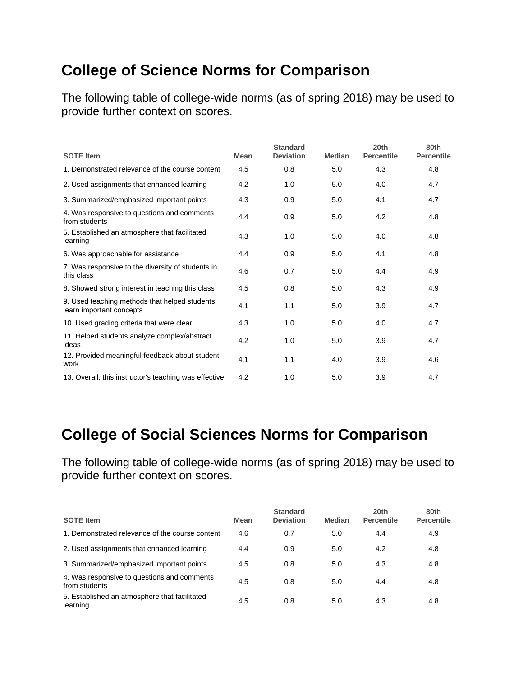# **College of Science Norms for Comparison**

The following table of college-wide norms (as of spring 2018) may be used to provide further context on scores.

| <b>SOTE Item</b>                                                          | <b>Mean</b> | <b>Standard</b><br><b>Deviation</b> | <b>Median</b> | 20th<br><b>Percentile</b> | 80th<br><b>Percentile</b> |
|---------------------------------------------------------------------------|-------------|-------------------------------------|---------------|---------------------------|---------------------------|
| 1. Demonstrated relevance of the course content                           | 4.5         | 0.8                                 | 5.0           | 4.3                       | 4.8                       |
| 2. Used assignments that enhanced learning                                | 4.2         | 1.0                                 | 5.0           | 4.0                       | 4.7                       |
| 3. Summarized/emphasized important points                                 | 4.3         | 0.9                                 | 5.0           | 4.1                       | 4.7                       |
| 4. Was responsive to questions and comments<br>from students              | 4.4         | 0.9                                 | 5.0           | 4.2                       | 4.8                       |
| 5. Established an atmosphere that facilitated<br>learning                 | 4.3         | 1.0                                 | 5.0           | 4.0                       | 4.8                       |
| 6. Was approachable for assistance                                        | 4.4         | 0.9                                 | 5.0           | 4.1                       | 4.8                       |
| 7. Was responsive to the diversity of students in<br>this class           | 4.6         | 0.7                                 | 5.0           | 4.4                       | 4.9                       |
| 8. Showed strong interest in teaching this class                          | 4.5         | 0.8                                 | 5.0           | 4.3                       | 4.9                       |
| 9. Used teaching methods that helped students<br>learn important concepts | 4.1         | 1.1                                 | 5.0           | 3.9                       | 4.7                       |
| 10. Used grading criteria that were clear                                 | 4.3         | 1.0                                 | 5.0           | 4.0                       | 4.7                       |
| 11. Helped students analyze complex/abstract<br>ideas                     | 4.2         | 1.0                                 | 5.0           | 3.9                       | 4.7                       |
| 12. Provided meaningful feedback about student<br>work                    | 4.1         | 1.1                                 | 4.0           | 3.9                       | 4.6                       |
| 13. Overall, this instructor's teaching was effective                     | 4.2         | 1.0                                 | 5.0           | 3.9                       | 4.7                       |

## **College of Social Sciences Norms for Comparison**

| <b>SOTE Item</b>                                             | <b>Mean</b> | <b>Standard</b><br><b>Deviation</b> | <b>Median</b> | 20th<br><b>Percentile</b> | 80th<br><b>Percentile</b> |
|--------------------------------------------------------------|-------------|-------------------------------------|---------------|---------------------------|---------------------------|
| 1. Demonstrated relevance of the course content              | 4.6         | 0.7                                 | 5.0           | 4.4                       | 4.9                       |
| 2. Used assignments that enhanced learning                   | 4.4         | 0.9                                 | 5.0           | 4.2                       | 4.8                       |
| 3. Summarized/emphasized important points                    | 4.5         | 0.8                                 | 5.0           | 4.3                       | 4.8                       |
| 4. Was responsive to questions and comments<br>from students | 4.5         | 0.8                                 | 5.0           | 4.4                       | 4.8                       |
| 5. Established an atmosphere that facilitated<br>learning    | 4.5         | 0.8                                 | 5.0           | 4.3                       | 4.8                       |